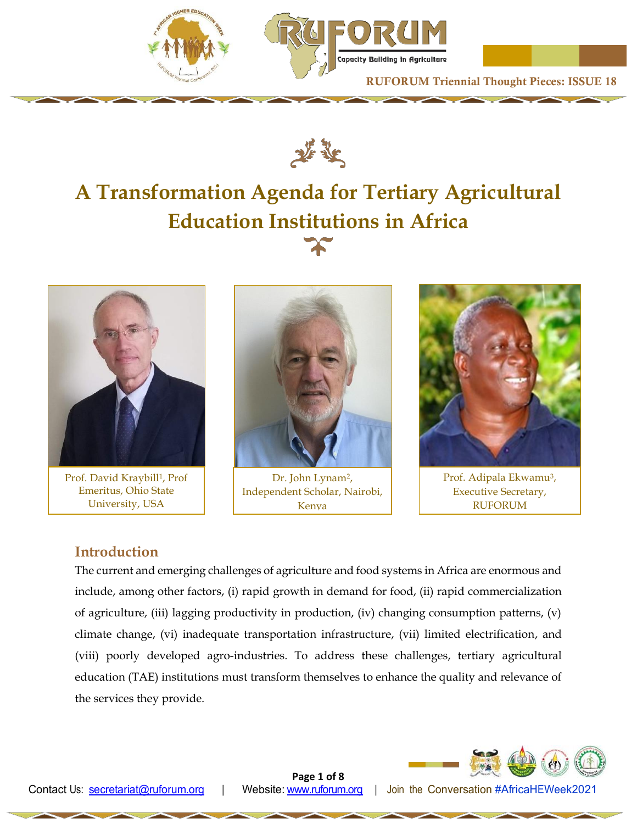





# **A Transformation Agenda for Tertiary Agricultural Education Institutions in Africa**



Prof. David Kraybill<sup>1</sup>, Prof Emeritus, Ohio State University, USA



Dr. John Lynam<sup>2</sup>, Independent Scholar, Nairobi, Kenya



Prof. Adipala Ekwamu<sup>3</sup>, Executive Secretary, RUFORUM

# **Introduction**

The current and emerging challenges of agriculture and food systems in Africa are enormous and include, among other factors, (i) rapid growth in demand for food, (ii) rapid commercialization of agriculture, (iii) lagging productivity in production, (iv) changing consumption patterns, (v) climate change, (vi) inadequate transportation infrastructure, (vii) limited electrification, and (viii) poorly developed agro-industries. To address these challenges, tertiary agricultural education (TAE) institutions must transform themselves to enhance the quality and relevance of the services they provide.



**Page 1 of 8**

Contact Us: [secretariat@ruforum.org |](mailto:secretariat@ruforum.org) Website: [www.ruforum.org |](http://www.ruforum.org/) Join the Conversation #AfricaHEWeek2021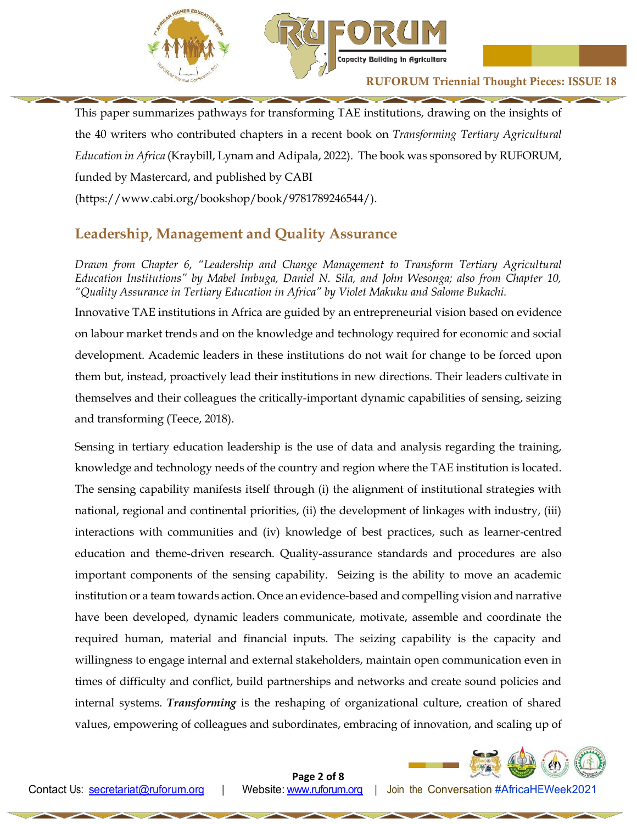

This paper summarizes pathways for transforming TAE institutions, drawing on the insights of the 40 writers who contributed chapters in a recent book on *Transforming Tertiary Agricultural Education in Africa* (Kraybill, Lynam and Adipala, 2022). The book was sponsored by RUFORUM, funded by Mastercard, and published by CABI (https://www.cabi.org/bookshop/book/9781789246544/).

# **Leadership, Management and Quality Assurance**

*Drawn from Chapter 6, "Leadership and Change Management to Transform Tertiary Agricultural Education Institutions" by Mabel Imbuga, Daniel N. Sila, and John Wesonga; also from Chapter 10, "Quality Assurance in Tertiary Education in Africa" by Violet Makuku and Salome Bukachi.*

Innovative TAE institutions in Africa are guided by an entrepreneurial vision based on evidence on labour market trends and on the knowledge and technology required for economic and social development. Academic leaders in these institutions do not wait for change to be forced upon them but, instead, proactively lead their institutions in new directions. Their leaders cultivate in themselves and their colleagues the critically-important dynamic capabilities of sensing, seizing and transforming (Teece, 2018).

Sensing in tertiary education leadership is the use of data and analysis regarding the training, knowledge and technology needs of the country and region where the TAE institution is located. The sensing capability manifests itself through (i) the alignment of institutional strategies with national, regional and continental priorities, (ii) the development of linkages with industry, (iii) interactions with communities and (iv) knowledge of best practices, such as learner-centred education and theme-driven research. Quality-assurance standards and procedures are also important components of the sensing capability. Seizing is the ability to move an academic institution or a team towards action. Once an evidence-based and compelling vision and narrative have been developed, dynamic leaders communicate, motivate, assemble and coordinate the required human, material and financial inputs. The seizing capability is the capacity and willingness to engage internal and external stakeholders, maintain open communication even in times of difficulty and conflict, build partnerships and networks and create sound policies and internal systems. *Transforming* is the reshaping of organizational culture, creation of shared values, empowering of colleagues and subordinates, embracing of innovation, and scaling up of

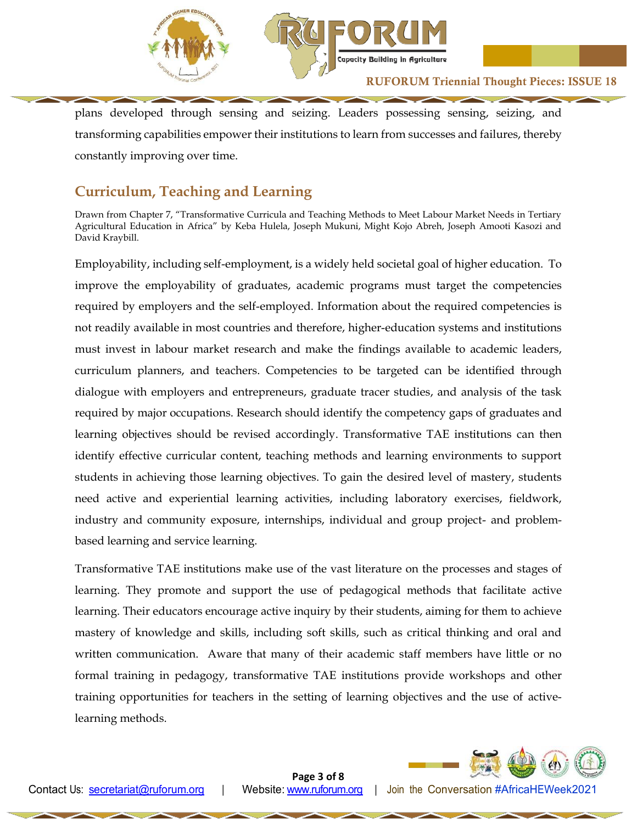

plans developed through sensing and seizing. Leaders possessing sensing, seizing, and transforming capabilities empower their institutions to learn from successes and failures, thereby constantly improving over time.

# **Curriculum, Teaching and Learning**

Drawn from Chapter 7, "Transformative Curricula and Teaching Methods to Meet Labour Market Needs in Tertiary Agricultural Education in Africa" by Keba Hulela, Joseph Mukuni, Might Kojo Abreh, Joseph Amooti Kasozi and David Kraybill.

Employability, including self-employment, is a widely held societal goal of higher education. To improve the employability of graduates, academic programs must target the competencies required by employers and the self-employed. Information about the required competencies is not readily available in most countries and therefore, higher-education systems and institutions must invest in labour market research and make the findings available to academic leaders, curriculum planners, and teachers. Competencies to be targeted can be identified through dialogue with employers and entrepreneurs, graduate tracer studies, and analysis of the task required by major occupations. Research should identify the competency gaps of graduates and learning objectives should be revised accordingly. Transformative TAE institutions can then identify effective curricular content, teaching methods and learning environments to support students in achieving those learning objectives. To gain the desired level of mastery, students need active and experiential learning activities, including laboratory exercises, fieldwork, industry and community exposure, internships, individual and group project- and problembased learning and service learning.

Transformative TAE institutions make use of the vast literature on the processes and stages of learning. They promote and support the use of pedagogical methods that facilitate active learning. Their educators encourage active inquiry by their students, aiming for them to achieve mastery of knowledge and skills, including soft skills, such as critical thinking and oral and written communication. Aware that many of their academic staff members have little or no formal training in pedagogy, transformative TAE institutions provide workshops and other training opportunities for teachers in the setting of learning objectives and the use of activelearning methods.



**Page 3 of 8**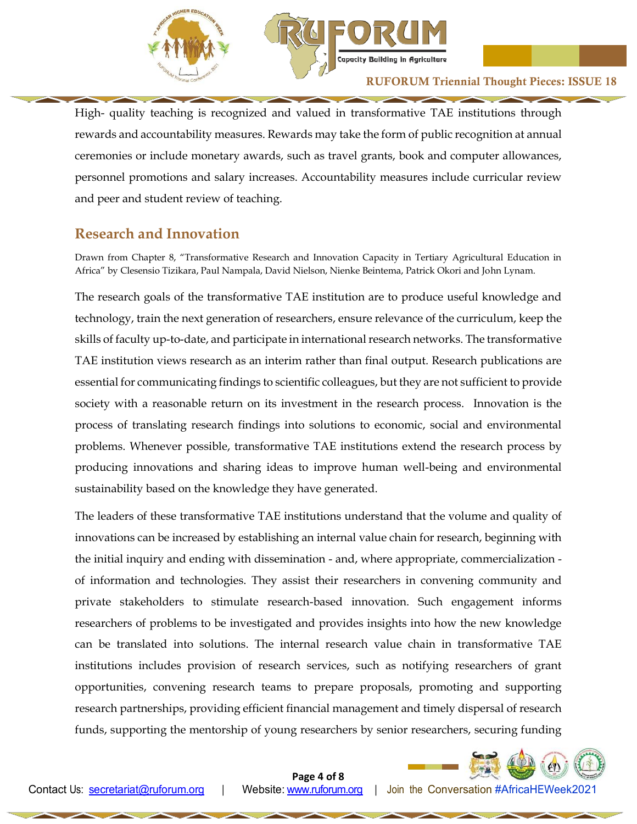

High- quality teaching is recognized and valued in transformative TAE institutions through rewards and accountability measures. Rewards may take the form of public recognition at annual ceremonies or include monetary awards, such as travel grants, book and computer allowances, personnel promotions and salary increases. Accountability measures include curricular review and peer and student review of teaching.

# **Research and Innovation**

Drawn from Chapter 8, "Transformative Research and Innovation Capacity in Tertiary Agricultural Education in Africa" by Clesensio Tizikara, Paul Nampala, David Nielson, Nienke Beintema, Patrick Okori and John Lynam.

The research goals of the transformative TAE institution are to produce useful knowledge and technology, train the next generation of researchers, ensure relevance of the curriculum, keep the skills of faculty up-to-date, and participate in international research networks. The transformative TAE institution views research as an interim rather than final output. Research publications are essential for communicating findings to scientific colleagues, but they are not sufficient to provide society with a reasonable return on its investment in the research process. Innovation is the process of translating research findings into solutions to economic, social and environmental problems. Whenever possible, transformative TAE institutions extend the research process by producing innovations and sharing ideas to improve human well-being and environmental sustainability based on the knowledge they have generated.

The leaders of these transformative TAE institutions understand that the volume and quality of innovations can be increased by establishing an internal value chain for research, beginning with the initial inquiry and ending with dissemination - and, where appropriate, commercialization of information and technologies. They assist their researchers in convening community and private stakeholders to stimulate research-based innovation. Such engagement informs researchers of problems to be investigated and provides insights into how the new knowledge can be translated into solutions. The internal research value chain in transformative TAE institutions includes provision of research services, such as notifying researchers of grant opportunities, convening research teams to prepare proposals, promoting and supporting research partnerships, providing efficient financial management and timely dispersal of research funds, supporting the mentorship of young researchers by senior researchers, securing funding

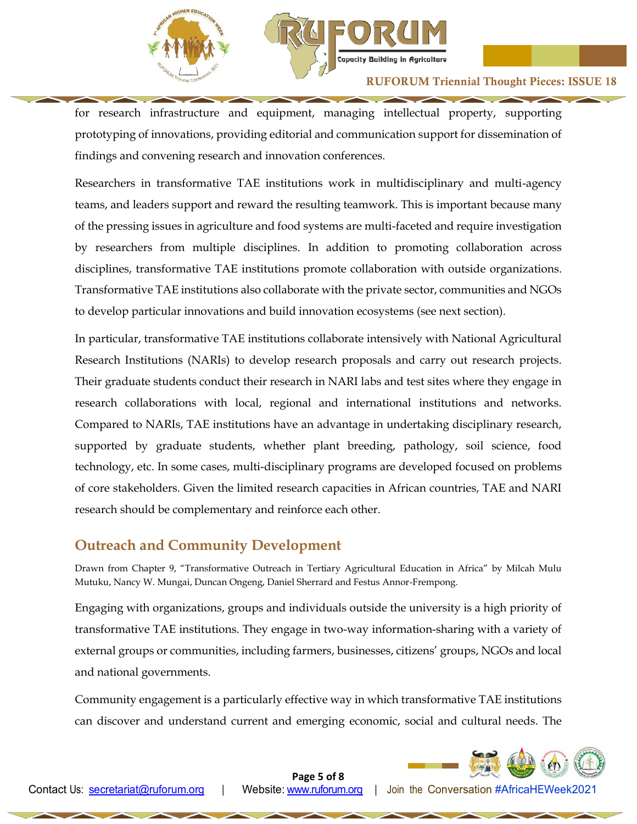



for research infrastructure and equipment, managing intellectual property, supporting prototyping of innovations, providing editorial and communication support for dissemination of findings and convening research and innovation conferences.

Researchers in transformative TAE institutions work in multidisciplinary and multi-agency teams, and leaders support and reward the resulting teamwork. This is important because many of the pressing issues in agriculture and food systems are multi-faceted and require investigation by researchers from multiple disciplines. In addition to promoting collaboration across disciplines, transformative TAE institutions promote collaboration with outside organizations. Transformative TAE institutions also collaborate with the private sector, communities and NGOs to develop particular innovations and build innovation ecosystems (see next section).

In particular, transformative TAE institutions collaborate intensively with National Agricultural Research Institutions (NARIs) to develop research proposals and carry out research projects. Their graduate students conduct their research in NARI labs and test sites where they engage in research collaborations with local, regional and international institutions and networks. Compared to NARIs, TAE institutions have an advantage in undertaking disciplinary research, supported by graduate students, whether plant breeding, pathology, soil science, food technology, etc. In some cases, multi-disciplinary programs are developed focused on problems of core stakeholders. Given the limited research capacities in African countries, TAE and NARI research should be complementary and reinforce each other.

# **Outreach and Community Development**

Drawn from Chapter 9, "Transformative Outreach in Tertiary Agricultural Education in Africa" by Milcah Mulu Mutuku, Nancy W. Mungai, Duncan Ongeng, Daniel Sherrard and Festus Annor-Frempong.

Engaging with organizations, groups and individuals outside the university is a high priority of transformative TAE institutions. They engage in two-way information-sharing with a variety of external groups or communities, including farmers, businesses, citizens' groups, NGOs and local and national governments.

Community engagement is a particularly effective way in which transformative TAE institutions can discover and understand current and emerging economic, social and cultural needs. The



**Page 5 of 8**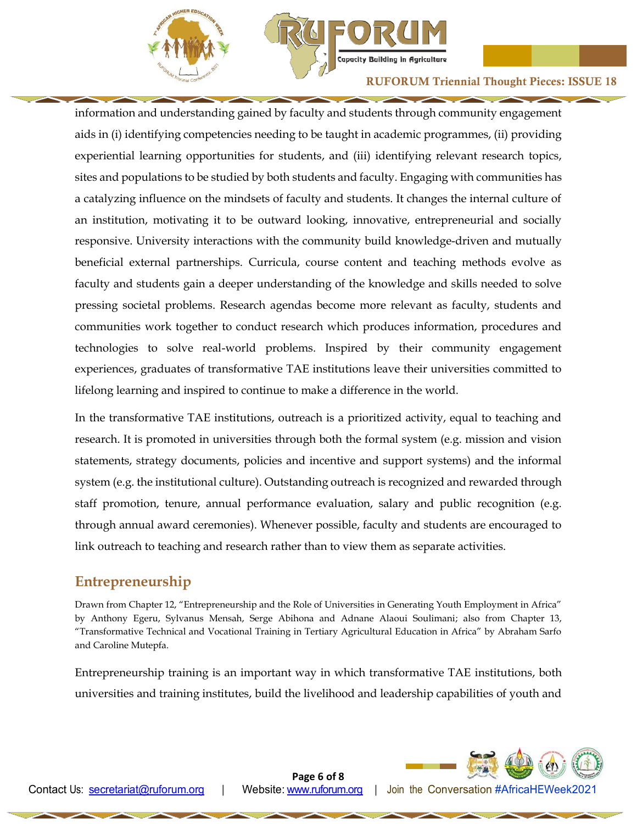

information and understanding gained by faculty and students through community engagement aids in (i) identifying competencies needing to be taught in academic programmes, (ii) providing experiential learning opportunities for students, and (iii) identifying relevant research topics, sites and populations to be studied by both students and faculty. Engaging with communities has a catalyzing influence on the mindsets of faculty and students. It changes the internal culture of an institution, motivating it to be outward looking, innovative, entrepreneurial and socially responsive. University interactions with the community build knowledge-driven and mutually beneficial external partnerships. Curricula, course content and teaching methods evolve as faculty and students gain a deeper understanding of the knowledge and skills needed to solve pressing societal problems. Research agendas become more relevant as faculty, students and communities work together to conduct research which produces information, procedures and technologies to solve real-world problems. Inspired by their community engagement experiences, graduates of transformative TAE institutions leave their universities committed to lifelong learning and inspired to continue to make a difference in the world.

In the transformative TAE institutions, outreach is a prioritized activity, equal to teaching and research. It is promoted in universities through both the formal system (e.g. mission and vision statements, strategy documents, policies and incentive and support systems) and the informal system (e.g. the institutional culture). Outstanding outreach is recognized and rewarded through staff promotion, tenure, annual performance evaluation, salary and public recognition (e.g. through annual award ceremonies). Whenever possible, faculty and students are encouraged to link outreach to teaching and research rather than to view them as separate activities.

# **Entrepreneurship**

Drawn from Chapter 12, "Entrepreneurship and the Role of Universities in Generating Youth Employment in Africa" by Anthony Egeru, Sylvanus Mensah, Serge Abihona and Adnane Alaoui Soulimani; also from Chapter 13, "Transformative Technical and Vocational Training in Tertiary Agricultural Education in Africa" by Abraham Sarfo and Caroline Mutepfa.

Entrepreneurship training is an important way in which transformative TAE institutions, both universities and training institutes, build the livelihood and leadership capabilities of youth and



**Page 6 of 8**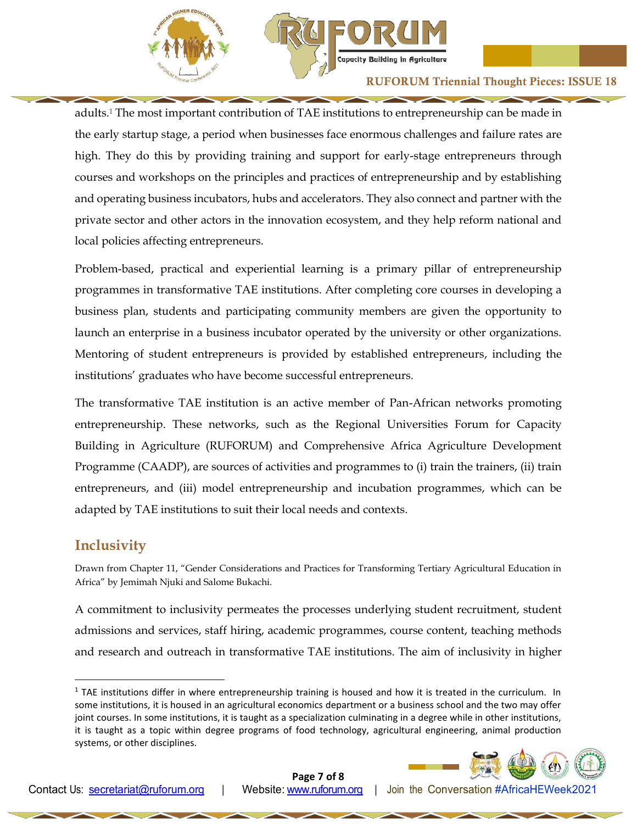

adults.<sup>1</sup> The most important contribution of TAE institutions to entrepreneurship can be made in the early startup stage, a period when businesses face enormous challenges and failure rates are high. They do this by providing training and support for early-stage entrepreneurs through courses and workshops on the principles and practices of entrepreneurship and by establishing and operating business incubators, hubs and accelerators. They also connect and partner with the private sector and other actors in the innovation ecosystem, and they help reform national and local policies affecting entrepreneurs.

Problem-based, practical and experiential learning is a primary pillar of entrepreneurship programmes in transformative TAE institutions. After completing core courses in developing a business plan, students and participating community members are given the opportunity to launch an enterprise in a business incubator operated by the university or other organizations. Mentoring of student entrepreneurs is provided by established entrepreneurs, including the institutions' graduates who have become successful entrepreneurs.

The transformative TAE institution is an active member of Pan-African networks promoting entrepreneurship. These networks, such as the Regional Universities Forum for Capacity Building in Agriculture (RUFORUM) and Comprehensive Africa Agriculture Development Programme (CAADP), are sources of activities and programmes to (i) train the trainers, (ii) train entrepreneurs, and (iii) model entrepreneurship and incubation programmes, which can be adapted by TAE institutions to suit their local needs and contexts.

### **Inclusivity**

l

Drawn from Chapter 11, "Gender Considerations and Practices for Transforming Tertiary Agricultural Education in Africa" by Jemimah Njuki and Salome Bukachi.

A commitment to inclusivity permeates the processes underlying student recruitment, student admissions and services, staff hiring, academic programmes, course content, teaching methods and research and outreach in transformative TAE institutions. The aim of inclusivity in higher

 $1$  TAE institutions differ in where entrepreneurship training is housed and how it is treated in the curriculum. In some institutions, it is housed in an agricultural economics department or a business school and the two may offer joint courses. In some institutions, it is taught as a specialization culminating in a degree while in other institutions, it is taught as a topic within degree programs of food technology, agricultural engineering, animal production systems, or other disciplines.



**Page 7 of 8**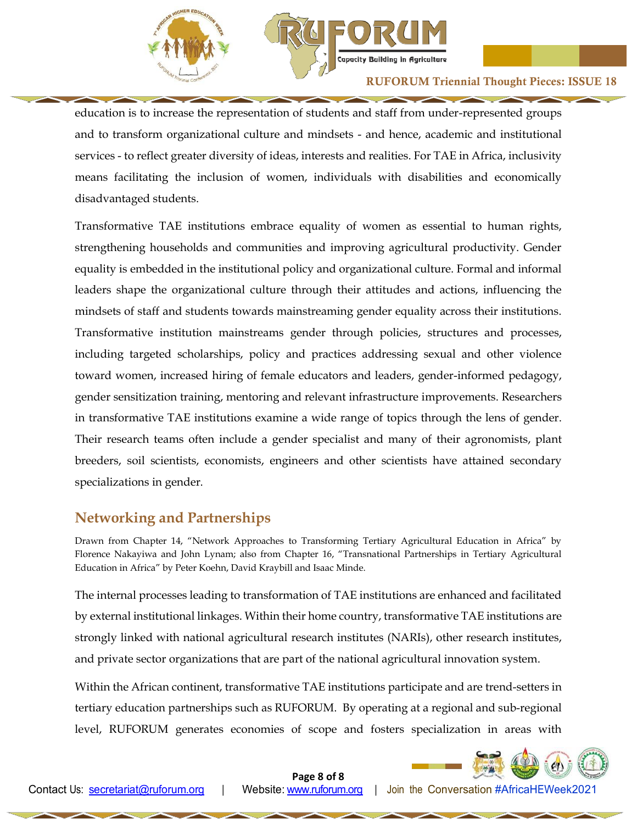



education is to increase the representation of students and staff from under-represented groups and to transform organizational culture and mindsets - and hence, academic and institutional services - to reflect greater diversity of ideas, interests and realities. For TAE in Africa, inclusivity means facilitating the inclusion of women, individuals with disabilities and economically disadvantaged students.

Transformative TAE institutions embrace equality of women as essential to human rights, strengthening households and communities and improving agricultural productivity. Gender equality is embedded in the institutional policy and organizational culture. Formal and informal leaders shape the organizational culture through their attitudes and actions, influencing the mindsets of staff and students towards mainstreaming gender equality across their institutions. Transformative institution mainstreams gender through policies, structures and processes, including targeted scholarships, policy and practices addressing sexual and other violence toward women, increased hiring of female educators and leaders, gender-informed pedagogy, gender sensitization training, mentoring and relevant infrastructure improvements. Researchers in transformative TAE institutions examine a wide range of topics through the lens of gender. Their research teams often include a gender specialist and many of their agronomists, plant breeders, soil scientists, economists, engineers and other scientists have attained secondary specializations in gender.

# **Networking and Partnerships**

Drawn from Chapter 14, "Network Approaches to Transforming Tertiary Agricultural Education in Africa" by Florence Nakayiwa and John Lynam; also from Chapter 16, "Transnational Partnerships in Tertiary Agricultural Education in Africa" by Peter Koehn, David Kraybill and Isaac Minde.

The internal processes leading to transformation of TAE institutions are enhanced and facilitated by external institutional linkages. Within their home country, transformative TAE institutions are strongly linked with national agricultural research institutes (NARIs), other research institutes, and private sector organizations that are part of the national agricultural innovation system.

Within the African continent, transformative TAE institutions participate and are trend-setters in tertiary education partnerships such as RUFORUM. By operating at a regional and sub-regional level, RUFORUM generates economies of scope and fosters specialization in areas with



**Page 8 of 8**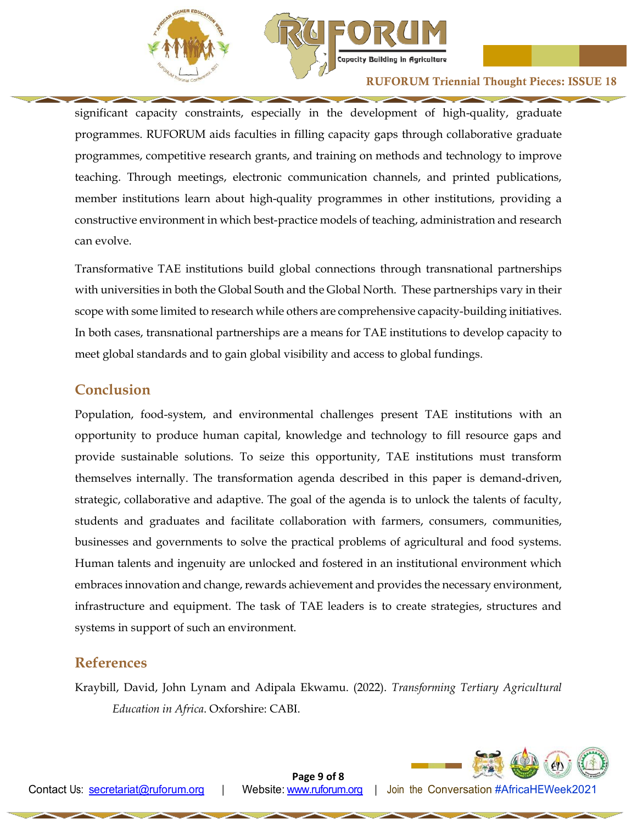



significant capacity constraints, especially in the development of high-quality, graduate programmes. RUFORUM aids faculties in filling capacity gaps through collaborative graduate programmes, competitive research grants, and training on methods and technology to improve teaching. Through meetings, electronic communication channels, and printed publications, member institutions learn about high-quality programmes in other institutions, providing a constructive environment in which best-practice models of teaching, administration and research can evolve.

Transformative TAE institutions build global connections through transnational partnerships with universities in both the Global South and the Global North. These partnerships vary in their scope with some limited to research while others are comprehensive capacity-building initiatives. In both cases, transnational partnerships are a means for TAE institutions to develop capacity to meet global standards and to gain global visibility and access to global fundings.

# **Conclusion**

Population, food-system, and environmental challenges present TAE institutions with an opportunity to produce human capital, knowledge and technology to fill resource gaps and provide sustainable solutions. To seize this opportunity, TAE institutions must transform themselves internally. The transformation agenda described in this paper is demand-driven, strategic, collaborative and adaptive. The goal of the agenda is to unlock the talents of faculty, students and graduates and facilitate collaboration with farmers, consumers, communities, businesses and governments to solve the practical problems of agricultural and food systems. Human talents and ingenuity are unlocked and fostered in an institutional environment which embraces innovation and change, rewards achievement and provides the necessary environment, infrastructure and equipment. The task of TAE leaders is to create strategies, structures and systems in support of such an environment.

# **References**

Kraybill, David, John Lynam and Adipala Ekwamu. (2022). *Transforming Tertiary Agricultural Education in Africa*. Oxforshire: CABI.



**Page 9 of 8**

Contact Us: [secretariat@ruforum.org |](mailto:secretariat@ruforum.org) Website: [www.ruforum.org |](http://www.ruforum.org/) Join the Conversation #AfricaHEWeek2021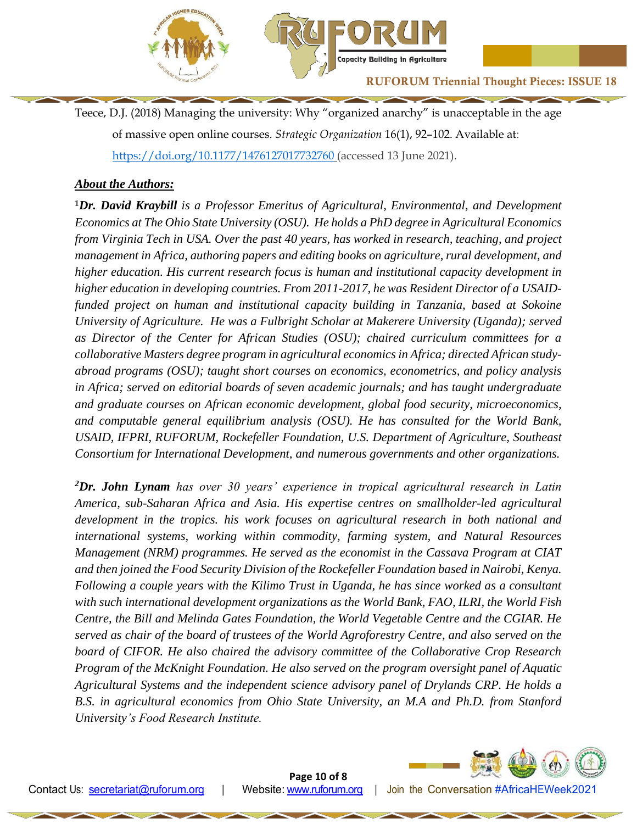

Teece, D.J. (2018) Managing the university: Why "organized anarchy" is unacceptable in the age of massive open online courses. *Strategic Organization* 16(1), 92–102. Available at: <https://doi.org/10.1177/1476127017732760> (accessed 13 June 2021).

#### *About the Authors:*

**<sup>1</sup>***Dr. David Kraybill is a Professor Emeritus of Agricultural, Environmental, and Development Economics at The Ohio State University (OSU). He holds a PhD degree in Agricultural Economics from Virginia Tech in USA. Over the past 40 years, has worked in research, teaching, and project management in Africa, authoring papers and editing books on agriculture, rural development, and higher education. His current research focus is human and institutional capacity development in higher education in developing countries. From 2011-2017, he was Resident Director of a USAIDfunded project on human and institutional capacity building in Tanzania, based at Sokoine University of Agriculture. He was a Fulbright Scholar at Makerere University (Uganda); served as Director of the Center for African Studies (OSU); chaired curriculum committees for a collaborative Masters degree program in agricultural economics in Africa; directed African studyabroad programs (OSU); taught short courses on economics, econometrics, and policy analysis in Africa; served on editorial boards of seven academic journals; and has taught undergraduate and graduate courses on African economic development, global food security, microeconomics, and computable general equilibrium analysis (OSU). He has consulted for the World Bank, USAID, IFPRI, RUFORUM, Rockefeller Foundation, U.S. Department of Agriculture, Southeast Consortium for International Development, and numerous governments and other organizations.*

*<sup>2</sup>Dr. John Lynam has over 30 years' experience in tropical agricultural research in Latin America, sub-Saharan Africa and Asia. His expertise centres on smallholder-led agricultural development in the tropics. his work focuses on agricultural research in both national and international systems, working within commodity, farming system, and Natural Resources Management (NRM) programmes. He served as the economist in the Cassava Program at CIAT and then joined the Food Security Division of the Rockefeller Foundation based in Nairobi, Kenya. Following a couple years with the Kilimo Trust in Uganda, he has since worked as a consultant with such international development organizations as the World Bank, FAO, ILRI, the World Fish Centre, the Bill and Melinda Gates Foundation, the World Vegetable Centre and the CGIAR. He served as chair of the board of trustees of the World Agroforestry Centre, and also served on the board of CIFOR. He also chaired the advisory committee of the Collaborative Crop Research Program of the McKnight Foundation. He also served on the program oversight panel of Aquatic Agricultural Systems and the independent science advisory panel of Drylands CRP. He holds a B.S. in agricultural economics from Ohio State University, an M.A and Ph.D. from Stanford University's Food Research Institute.*



**Page 10 of 8**